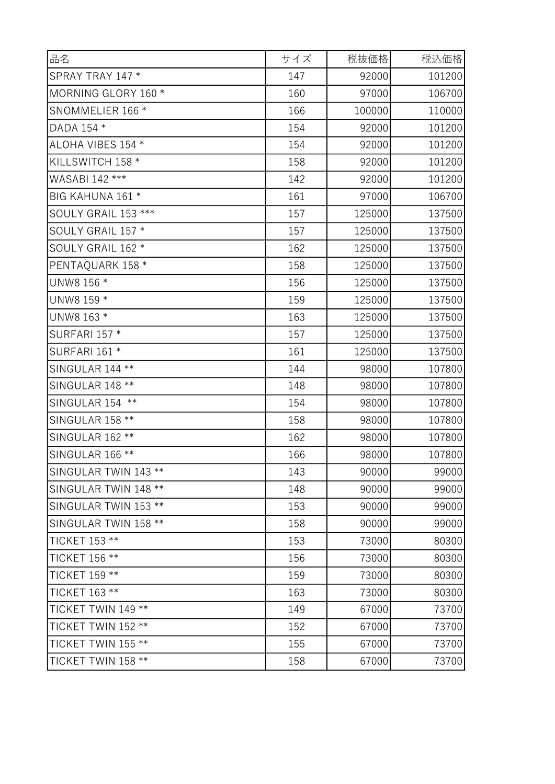| 品名                     | サイズ | 税抜価格   | 税込価格   |
|------------------------|-----|--------|--------|
| SPRAY TRAY 147 *       | 147 | 92000  | 101200 |
| MORNING GLORY 160 *    | 160 | 97000  | 106700 |
| SNOMMELIER 166 *       | 166 | 100000 | 110000 |
| DADA 154 *             | 154 | 92000  | 101200 |
| ALOHA VIBES 154 *      | 154 | 92000  | 101200 |
| KILLSWITCH 158 *       | 158 | 92000  | 101200 |
| WASABI 142 ***         | 142 | 92000  | 101200 |
| BIG KAHUNA 161 *       | 161 | 97000  | 106700 |
| SOULY GRAIL 153 ***    | 157 | 125000 | 137500 |
| SOULY GRAIL 157 *      | 157 | 125000 | 137500 |
| SOULY GRAIL 162 *      | 162 | 125000 | 137500 |
| PENTAQUARK 158 *       | 158 | 125000 | 137500 |
| UNW8 156 *             | 156 | 125000 | 137500 |
| UNW8 159 *             | 159 | 125000 | 137500 |
| UNW8 163 *             | 163 | 125000 | 137500 |
| <b>SURFARI 157 *</b>   | 157 | 125000 | 137500 |
| SURFARI 161 *          | 161 | 125000 | 137500 |
| SINGULAR 144 **        | 144 | 98000  | 107800 |
| SINGULAR 148 **        | 148 | 98000  | 107800 |
| SINGULAR 154<br>$***$  | 154 | 98000  | 107800 |
| <b>SINGULAR 158 **</b> | 158 | 98000  | 107800 |
| SINGULAR 162 **        | 162 | 98000  | 107800 |
| <b>SINGULAR 166 **</b> | 166 | 98000  | 107800 |
| SINGULAR TWIN 143 **   | 143 | 90000  | 99000  |
| SINGULAR TWIN 148 **   | 148 | 90000  | 99000  |
| SINGULAR TWIN 153 **   | 153 | 90000  | 99000  |
| SINGULAR TWIN 158 **   | 158 | 90000  | 99000  |
| TICKET 153 **          | 153 | 73000  | 80300  |
| TICKET 156 **          | 156 | 73000  | 80300  |
| TICKET 159 **          | 159 | 73000  | 80300  |
| TICKET 163 **          | 163 | 73000  | 80300  |
| TICKET TWIN 149 **     | 149 | 67000  | 73700  |
| TICKET TWIN 152 **     | 152 | 67000  | 73700  |
| TICKET TWIN 155 **     | 155 | 67000  | 73700  |
| TICKET TWIN 158 **     | 158 | 67000  | 73700  |